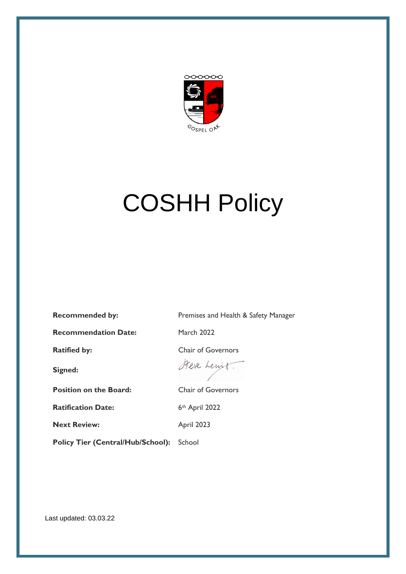

# COSHH Policy

**Recommended by:** Premises and Health & Safety Manager

**Recommendation Date:** March 2022

**Signed:**

**Position on the Board:** Chair of Governors

**Ratification Date:** 6th April 2022

**Next Review:** April 2023

Policy Tier (Central/Hub/School): School

**Ratified by:** Chair of Governors

Steve Lewit.

Last updated: 03.03.22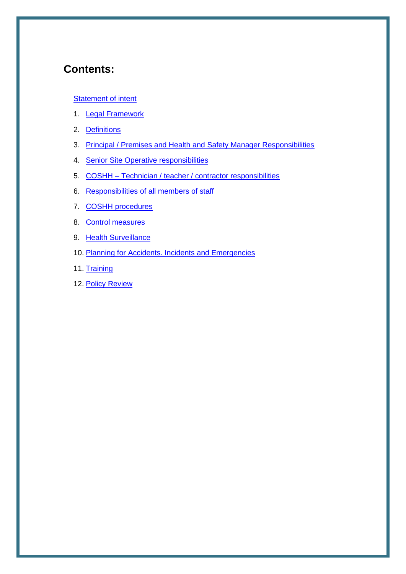## **Contents:**

#### **[Statement of intent](#page-2-0)**

- 1. [Legal Framework](#page-3-0)
- 2. Definitions
- 3. Principal / Premises and Health and Safety Manager Responsibilities
- 4. [Senior Site Operative](#page-4-0) responsibilities
- 5. COSHH [Technician / teacher / contractor](#page-4-1) responsibilities
- 6. [Responsibilities of all members of staff](#page-4-2)
- 7. [COSHH procedures](#page-4-3)
- 8. [Control measures](#page-5-0)
- 9. Health Surveillance
- 10. [Planning for Accidents. Incidents and Emergencies](#page-6-0)
- 11. Training
- 12. Policy Review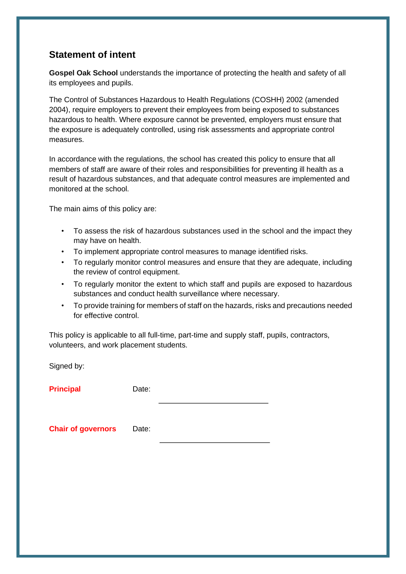### <span id="page-2-0"></span>**Statement of intent**

**Gospel Oak School** understands the importance of protecting the health and safety of all its employees and pupils.

The Control of Substances Hazardous to Health Regulations (COSHH) 2002 (amended 2004), require employers to prevent their employees from being exposed to substances hazardous to health. Where exposure cannot be prevented, employers must ensure that the exposure is adequately controlled, using risk assessments and appropriate control measures.

In accordance with the regulations, the school has created this policy to ensure that all members of staff are aware of their roles and responsibilities for preventing ill health as a result of hazardous substances, and that adequate control measures are implemented and monitored at the school.

The main aims of this policy are:

- To assess the risk of hazardous substances used in the school and the impact they may have on health.
- To implement appropriate control measures to manage identified risks.
- To regularly monitor control measures and ensure that they are adequate, including the review of control equipment.
- To regularly monitor the extent to which staff and pupils are exposed to hazardous substances and conduct health surveillance where necessary.
- To provide training for members of staff on the hazards, risks and precautions needed for effective control.

This policy is applicable to all full-time, part-time and supply staff, pupils, contractors, volunteers, and work placement students.

Signed by:

**Principal Date:** 

**Chair of governors** Date: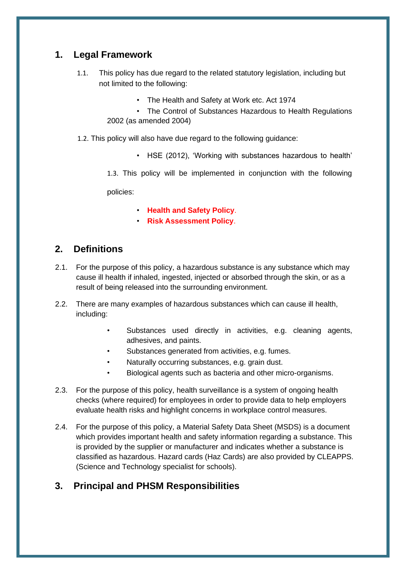#### <span id="page-3-0"></span>**1. Legal Framework**

- 1.1. This policy has due regard to the related statutory legislation, including but not limited to the following:
	- The Health and Safety at Work etc. Act 1974
	- The Control of Substances Hazardous to Health Regulations 2002 (as amended 2004)
- 1.2. This policy will also have due regard to the following guidance:
	- HSE (2012), 'Working with substances hazardous to health'
	- 1.3. This policy will be implemented in conjunction with the following

policies:

- **Health and Safety Policy**.
- **Risk Assessment Policy**.

#### **2. Definitions**

- 2.1. For the purpose of this policy, a hazardous substance is any substance which may cause ill health if inhaled, ingested, injected or absorbed through the skin, or as a result of being released into the surrounding environment.
- 2.2. There are many examples of hazardous substances which can cause ill health, including:
	- Substances used directly in activities, e.g. cleaning agents, adhesives, and paints.
	- Substances generated from activities, e.g. fumes.
	- Naturally occurring substances, e.g. grain dust.
	- Biological agents such as bacteria and other micro-organisms.
- 2.3. For the purpose of this policy, health surveillance is a system of ongoing health checks (where required) for employees in order to provide data to help employers evaluate health risks and highlight concerns in workplace control measures.
- 2.4. For the purpose of this policy, a Material Safety Data Sheet (MSDS) is a document which provides important health and safety information regarding a substance. This is provided by the supplier or manufacturer and indicates whether a substance is classified as hazardous. Hazard cards (Haz Cards) are also provided by CLEAPPS. (Science and Technology specialist for schools).

### **3. Principal and PHSM Responsibilities**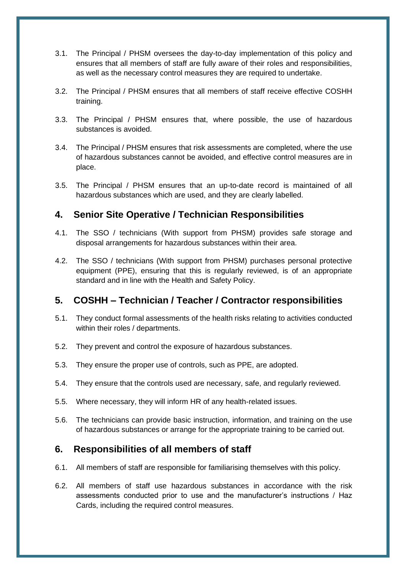- <span id="page-4-0"></span>3.1. The Principal / PHSM oversees the day-to-day implementation of this policy and ensures that all members of staff are fully aware of their roles and responsibilities, as well as the necessary control measures they are required to undertake.
- 3.2. The Principal / PHSM ensures that all members of staff receive effective COSHH training.
- 3.3. The Principal / PHSM ensures that, where possible, the use of hazardous substances is avoided.
- 3.4. The Principal / PHSM ensures that risk assessments are completed, where the use of hazardous substances cannot be avoided, and effective control measures are in place.
- 3.5. The Principal / PHSM ensures that an up-to-date record is maintained of all hazardous substances which are used, and they are clearly labelled.

#### **4. Senior Site Operative / Technician Responsibilities**

- <span id="page-4-1"></span>4.1. The SSO / technicians (With support from PHSM) provides safe storage and disposal arrangements for hazardous substances within their area.
- 4.2. The SSO / technicians (With support from PHSM) purchases personal protective equipment (PPE), ensuring that this is regularly reviewed, is of an appropriate standard and in line with the Health and Safety Policy.

#### **5. COSHH – Technician / Teacher / Contractor responsibilities**

- <span id="page-4-2"></span>5.1. They conduct formal assessments of the health risks relating to activities conducted within their roles / departments.
- 5.2. They prevent and control the exposure of hazardous substances.
- 5.3. They ensure the proper use of controls, such as PPE, are adopted.
- 5.4. They ensure that the controls used are necessary, safe, and regularly reviewed.
- 5.5. Where necessary, they will inform HR of any health-related issues.
- 5.6. The technicians can provide basic instruction, information, and training on the use of hazardous substances or arrange for the appropriate training to be carried out.

#### **6. Responsibilities of all members of staff**

- <span id="page-4-3"></span>6.1. All members of staff are responsible for familiarising themselves with this policy.
- 6.2. All members of staff use hazardous substances in accordance with the risk assessments conducted prior to use and the manufacturer's instructions / Haz Cards, including the required control measures.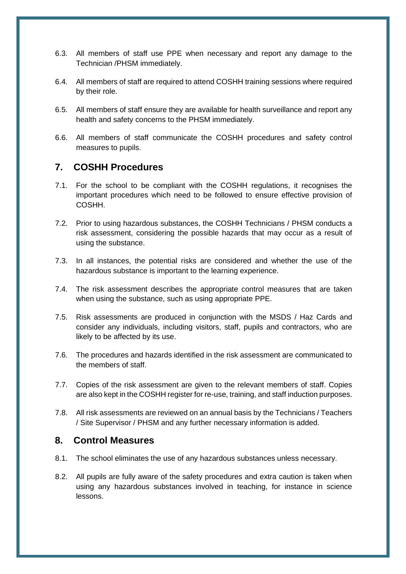- 6.3. All members of staff use PPE when necessary and report any damage to the Technician /PHSM immediately.
- 6.4. All members of staff are required to attend COSHH training sessions where required by their role.
- 6.5. All members of staff ensure they are available for health surveillance and report any health and safety concerns to the PHSM immediately.
- 6.6. All members of staff communicate the COSHH procedures and safety control measures to pupils.

#### **7. COSHH Procedures**

- <span id="page-5-0"></span>7.1. For the school to be compliant with the COSHH regulations, it recognises the important procedures which need to be followed to ensure effective provision of COSHH.
- 7.2. Prior to using hazardous substances, the COSHH Technicians / PHSM conducts a risk assessment, considering the possible hazards that may occur as a result of using the substance.
- 7.3. In all instances, the potential risks are considered and whether the use of the hazardous substance is important to the learning experience.
- 7.4. The risk assessment describes the appropriate control measures that are taken when using the substance, such as using appropriate PPE.
- 7.5. Risk assessments are produced in conjunction with the MSDS / Haz Cards and consider any individuals, including visitors, staff, pupils and contractors, who are likely to be affected by its use.
- 7.6. The procedures and hazards identified in the risk assessment are communicated to the members of staff.
- 7.7. Copies of the risk assessment are given to the relevant members of staff. Copies are also kept in the COSHH register for re-use, training, and staff induction purposes.
- 7.8. All risk assessments are reviewed on an annual basis by the Technicians / Teachers / Site Supervisor / PHSM and any further necessary information is added.

#### **8. Control Measures**

- 8.1. The school eliminates the use of any hazardous substances unless necessary.
- 8.2. All pupils are fully aware of the safety procedures and extra caution is taken when using any hazardous substances involved in teaching, for instance in science lessons.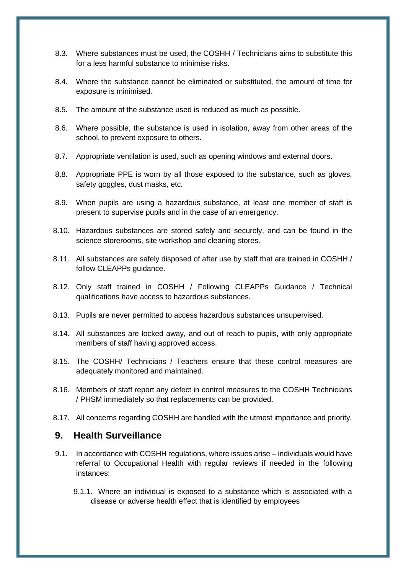- 8.3. Where substances must be used, the COSHH / Technicians aims to substitute this for a less harmful substance to minimise risks.
- 8.4. Where the substance cannot be eliminated or substituted, the amount of time for exposure is minimised.
- 8.5. The amount of the substance used is reduced as much as possible.
- 8.6. Where possible, the substance is used in isolation, away from other areas of the school, to prevent exposure to others.
- 8.7. Appropriate ventilation is used, such as opening windows and external doors.
- 8.8. Appropriate PPE is worn by all those exposed to the substance, such as gloves, safety goggles, dust masks, etc.
- 8.9. When pupils are using a hazardous substance, at least one member of staff is present to supervise pupils and in the case of an emergency.
- 8.10. Hazardous substances are stored safely and securely, and can be found in the science storerooms, site workshop and cleaning stores.
- 8.11. All substances are safely disposed of after use by staff that are trained in COSHH / follow CLEAPPs guidance.
- 8.12. Only staff trained in COSHH / Following CLEAPPs Guidance / Technical qualifications have access to hazardous substances.
- 8.13. Pupils are never permitted to access hazardous substances unsupervised.
- 8.14. All substances are locked away, and out of reach to pupils, with only appropriate members of staff having approved access.
- 8.15. The COSHH/ Technicians / Teachers ensure that these control measures are adequately monitored and maintained.
- 8.16. Members of staff report any defect in control measures to the COSHH Technicians / PHSM immediately so that replacements can be provided.
- 8.17. All concerns regarding COSHH are handled with the utmost importance and priority.

#### **9. Health Surveillance**

- <span id="page-6-0"></span>9.1. In accordance with COSHH regulations, where issues arise – individuals would have referral to Occupational Health with regular reviews if needed in the following instances:
	- 9.1.1. Where an individual is exposed to a substance which is associated with a disease or adverse health effect that is identified by employees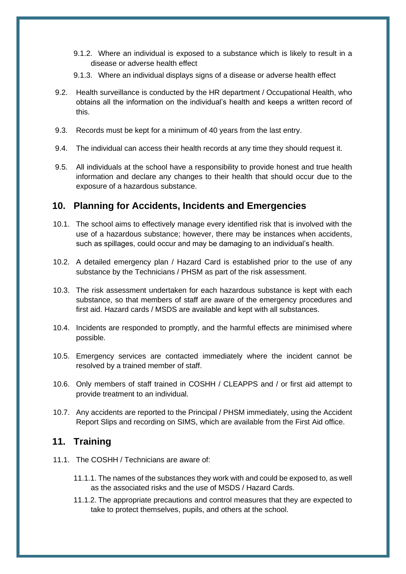- 9.1.2. Where an individual is exposed to a substance which is likely to result in a disease or adverse health effect
- 9.1.3. Where an individual displays signs of a disease or adverse health effect
- 9.2. Health surveillance is conducted by the HR department / Occupational Health, who obtains all the information on the individual's health and keeps a written record of this.
- 9.3. Records must be kept for a minimum of 40 years from the last entry.
- 9.4. The individual can access their health records at any time they should request it.
- 9.5. All individuals at the school have a responsibility to provide honest and true health information and declare any changes to their health that should occur due to the exposure of a hazardous substance.

#### **10. Planning for Accidents, Incidents and Emergencies**

- 10.1. The school aims to effectively manage every identified risk that is involved with the use of a hazardous substance; however, there may be instances when accidents, such as spillages, could occur and may be damaging to an individual's health.
- 10.2. A detailed emergency plan / Hazard Card is established prior to the use of any substance by the Technicians / PHSM as part of the risk assessment.
- 10.3. The risk assessment undertaken for each hazardous substance is kept with each substance, so that members of staff are aware of the emergency procedures and first aid. Hazard cards / MSDS are available and kept with all substances.
- 10.4. Incidents are responded to promptly, and the harmful effects are minimised where possible.
- 10.5. Emergency services are contacted immediately where the incident cannot be resolved by a trained member of staff.
- 10.6. Only members of staff trained in COSHH / CLEAPPS and / or first aid attempt to provide treatment to an individual.
- 10.7. Any accidents are reported to the Principal / PHSM immediately, using the Accident Report Slips and recording on SIMS, which are available from the First Aid office.

#### **11. Training**

- 11.1. The COSHH / Technicians are aware of:
	- 11.1.1. The names of the substances they work with and could be exposed to, as well as the associated risks and the use of MSDS / Hazard Cards.
	- 11.1.2. The appropriate precautions and control measures that they are expected to take to protect themselves, pupils, and others at the school.